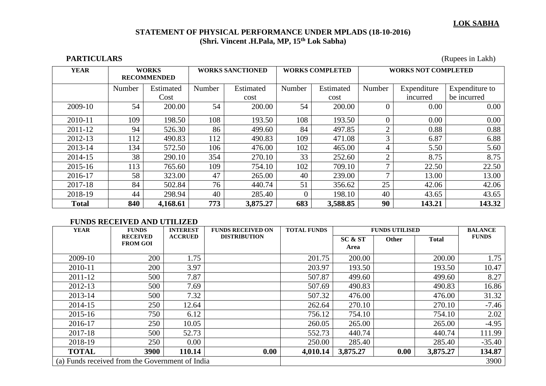## **STATEMENT OF PHYSICAL PERFORMANCE UNDER MPLADS (18-10-2016) (Shri. Vincent .H.Pala, MP, 15th Lok Sabha)**

**PARTICULARS** (Rupees in Lakh)

| <b>YEAR</b>  | <b>WORKS</b><br><b>RECOMMENDED</b> |           | <b>WORKS SANCTIONED</b> |           | <b>WORKS COMPLETED</b> |           | <b>WORKS NOT COMPLETED</b> |             |                |
|--------------|------------------------------------|-----------|-------------------------|-----------|------------------------|-----------|----------------------------|-------------|----------------|
|              | Number                             | Estimated | Number                  | Estimated | Number                 | Estimated | Number                     | Expenditure | Expenditure to |
|              |                                    | Cost      |                         | cost      |                        | cost      |                            | incurred    | be incurred    |
| 2009-10      | 54                                 | 200.00    | 54                      | 200.00    | 54                     | 200.00    | $\theta$                   | 0.00        | 0.00           |
| 2010-11      | 109                                | 198.50    | 108                     | 193.50    | 108                    | 193.50    | 0                          | 0.00        | 0.00           |
| 2011-12      | 94                                 | 526.30    | 86                      | 499.60    | 84                     | 497.85    | ◠                          | 0.88        | 0.88           |
| 2012-13      | 112                                | 490.83    | 112                     | 490.83    | 109                    | 471.08    | 3                          | 6.87        | 6.88           |
| 2013-14      | 134                                | 572.50    | 106                     | 476.00    | 102                    | 465.00    | 4                          | 5.50        | 5.60           |
| 2014-15      | 38                                 | 290.10    | 354                     | 270.10    | 33                     | 252.60    | $\overline{2}$             | 8.75        | 8.75           |
| 2015-16      | 113                                | 765.60    | 109                     | 754.10    | 102                    | 709.10    |                            | 22.50       | 22.50          |
| 2016-17      | 58                                 | 323.00    | 47                      | 265.00    | 40                     | 239.00    |                            | 13.00       | 13.00          |
| 2017-18      | 84                                 | 502.84    | 76                      | 440.74    | 51                     | 356.62    | 25                         | 42.06       | 42.06          |
| 2018-19      | 44                                 | 298.94    | 40                      | 285.40    | $\Omega$               | 198.10    | 40                         | 43.65       | 43.65          |
| <b>Total</b> | 840                                | 4,168.61  | 773                     | 3,875.27  | 683                    | 3,588.85  | 90                         | 143.21      | 143.32         |

## **FUNDS RECEIVED AND UTILIZED**

| <b>YEAR</b>                                     | <b>FUNDS</b>                       |                | <b>FUNDS RECEIVED ON</b> | <b>TOTAL FUNDS</b> | <b>FUNDS UTILISED</b> | <b>BALANCE</b> |              |              |
|-------------------------------------------------|------------------------------------|----------------|--------------------------|--------------------|-----------------------|----------------|--------------|--------------|
|                                                 | <b>RECEIVED</b><br><b>FROM GOI</b> | <b>ACCRUED</b> | <b>DISTRIBUTION</b>      |                    | SC & ST               | Other          | <b>Total</b> | <b>FUNDS</b> |
|                                                 |                                    |                |                          |                    | Area                  |                |              |              |
| 2009-10                                         | 200                                | 1.75           |                          | 201.75             | 200.00                |                | 200.00       | 1.75         |
| 2010-11                                         | 200                                | 3.97           |                          | 203.97             | 193.50                |                | 193.50       | 10.47        |
| 2011-12                                         | 500                                | 7.87           |                          | 507.87             | 499.60                |                | 499.60       | 8.27         |
| 2012-13                                         | 500                                | 7.69           |                          | 507.69             | 490.83                |                | 490.83       | 16.86        |
| 2013-14                                         | 500                                | 7.32           |                          | 507.32             | 476.00                |                | 476.00       | 31.32        |
| 2014-15                                         | 250                                | 12.64          |                          | 262.64             | 270.10                |                | 270.10       | $-7.46$      |
| 2015-16                                         | 750                                | 6.12           |                          | 756.12             | 754.10                |                | 754.10       | 2.02         |
| 2016-17                                         | 250                                | 10.05          |                          | 260.05             | 265.00                |                | 265.00       | $-4.95$      |
| 2017-18                                         | 500                                | 52.73          |                          | 552.73             | 440.74                |                | 440.74       | 111.99       |
| 2018-19                                         | 250                                | $0.00\,$       |                          | 250.00             | 285.40                |                | 285.40       | $-35.40$     |
| <b>TOTAL</b>                                    | 3900                               | 110.14         | 0.00                     | 4,010.14           | 3,875.27              | 0.00           | 3,875.27     | 134.87       |
| (a) Funds received from the Government of India |                                    |                |                          |                    |                       |                |              | 3900         |